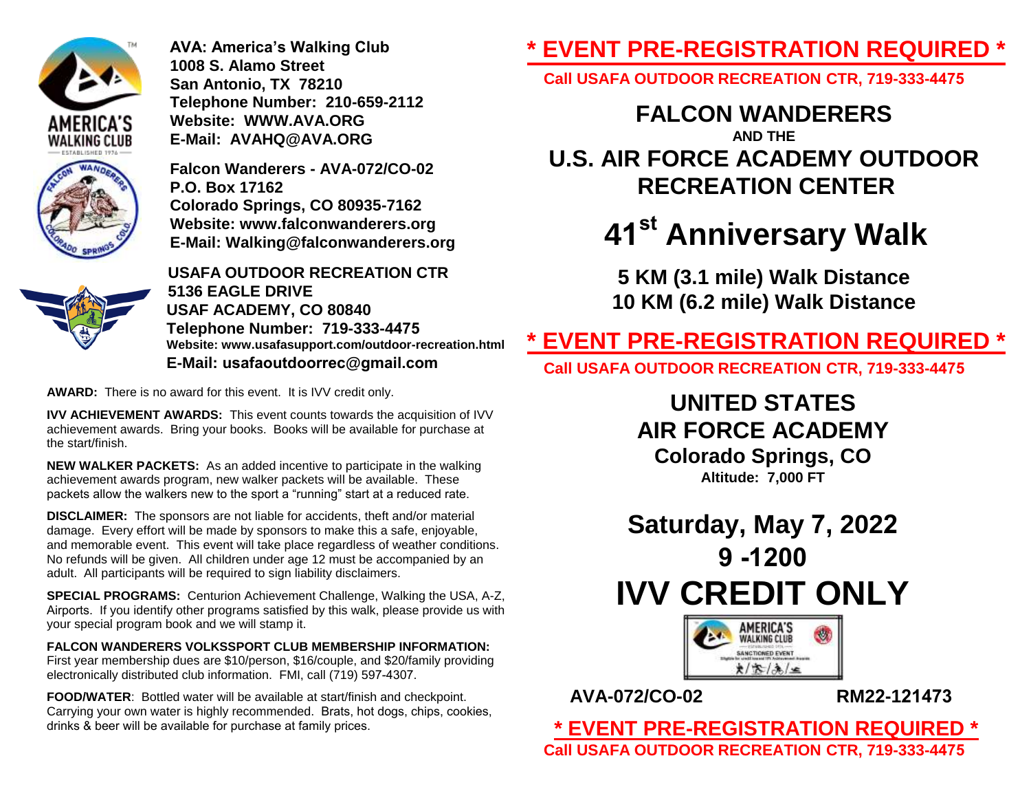

**AVA: America's Walking Club 1008 S. Alamo Street San Antonio, TX 78210 Telephone Number: 210-659-2112 Website: WWW.AVA.ORG E-Mail: AVAHQ@AVA.ORG**

**Falcon Wanderers - AVA-072/CO-02 P.O. Box 17162 Colorado Springs, CO 80935-7162 Website: www.falconwanderers.org E-Mail: Walking@falconwanderers.org**



**USAFA OUTDOOR RECREATION CTR 5136 EAGLE DRIVE USAF ACADEMY, CO 80840 Telephone Number: 719-333-4475 Website: www.usafasupport.com/outdoor-recreation.html E-Mail: usafaoutdoorrec@gmail.com**

**AWARD:** There is no award for this event. It is IVV credit only.

**IVV ACHIEVEMENT AWARDS:** This event counts towards the acquisition of IVV achievement awards. Bring your books. Books will be available for purchase at the start/finish.

**NEW WALKER PACKETS:** As an added incentive to participate in the walking achievement awards program, new walker packets will be available. These packets allow the walkers new to the sport a "running" start at a reduced rate.

**DISCLAIMER:** The sponsors are not liable for accidents, theft and/or material damage. Every effort will be made by sponsors to make this a safe, enjoyable, and memorable event. This event will take place regardless of weather conditions. No refunds will be given. All children under age 12 must be accompanied by an adult. All participants will be required to sign liability disclaimers.

**SPECIAL PROGRAMS:** Centurion Achievement Challenge, Walking the USA, A-Z, Airports. If you identify other programs satisfied by this walk, please provide us with your special program book and we will stamp it.

**FALCON WANDERERS VOLKSSPORT CLUB MEMBERSHIP INFORMATION:**  First year membership dues are \$10/person, \$16/couple, and \$20/family providing electronically distributed club information. FMI, call (719) 597-4307.

**FOOD/WATER**: Bottled water will be available at start/finish and checkpoint. Carrying your own water is highly recommended. Brats, hot dogs, chips, cookies, drinks & beer will be available for purchase at family prices.

## **\* EVENT PRE-REGISTRATION REQUIRED \***

**Call USAFA OUTDOOR RECREATION CTR, 719-333-4475**

### **FALCON WANDERERS**

**AND THE U.S. AIR FORCE ACADEMY OUTDOOR RECREATION CENTER** 

# **41 st Anniversary Walk**

**5 KM (3.1 mile) Walk Distance 10 KM (6.2 mile) Walk Distance** 

### **\* EVENT PRE-REGISTRATION REQUIRED \***

**Call USAFA OUTDOOR RECREATION CTR, 719-333-4475**

**UNITED STATES AIR FORCE ACADEMY** 

**Colorado Springs, CO Altitude: 7,000 FT**

**Saturday, May 7, 2022 9 -1200 IVV CREDIT ONLY** 



**AVA-072/CO-02 RM22-121473**

**\* EVENT PRE-REGISTRATION REQUIRED \* Call USAFA OUTDOOR RECREATION CTR, 719-333-4475**